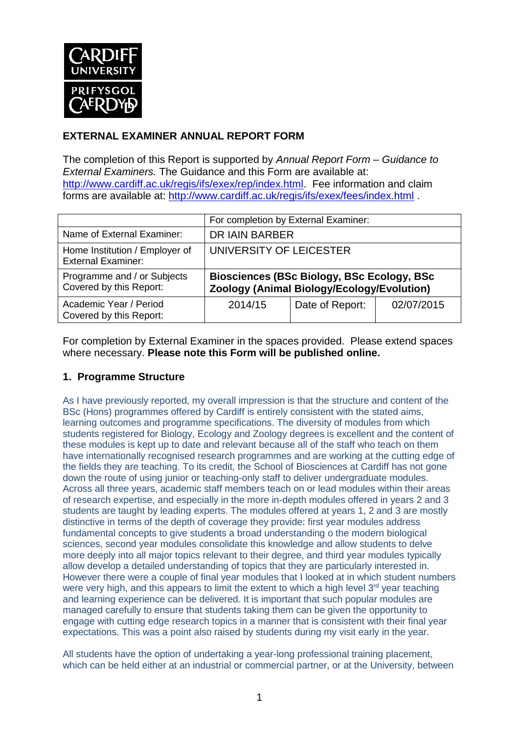

# **EXTERNAL EXAMINER ANNUAL REPORT FORM**

The completion of this Report is supported by *Annual Report Form – Guidance to External Examiners.* The Guidance and this Form are available at: <http://www.cardiff.ac.uk/regis/ifs/exex/rep/index.html>. Fee information and claim forms are available at: <http://www.cardiff.ac.uk/regis/ifs/exex/fees/index.html> .

|                                                             | For completion by External Examiner:                                                            |                 |            |  |
|-------------------------------------------------------------|-------------------------------------------------------------------------------------------------|-----------------|------------|--|
| Name of External Examiner:                                  | DR IAIN BARBER                                                                                  |                 |            |  |
| Home Institution / Employer of<br><b>External Examiner:</b> | UNIVERSITY OF LEICESTER                                                                         |                 |            |  |
| Programme and / or Subjects<br>Covered by this Report:      | <b>Biosciences (BSc Biology, BSc Ecology, BSc</b><br>Zoology (Animal Biology/Ecology/Evolution) |                 |            |  |
| Academic Year / Period<br>Covered by this Report:           | 2014/15                                                                                         | Date of Report: | 02/07/2015 |  |

For completion by External Examiner in the spaces provided. Please extend spaces where necessary. **Please note this Form will be published online.**

# **1. Programme Structure**

As I have previously reported, my overall impression is that the structure and content of the BSc (Hons) programmes offered by Cardiff is entirely consistent with the stated aims, learning outcomes and programme specifications. The diversity of modules from which students registered for Biology, Ecology and Zoology degrees is excellent and the content of these modules is kept up to date and relevant because all of the staff who teach on them have internationally recognised research programmes and are working at the cutting edge of the fields they are teaching. To its credit, the School of Biosciences at Cardiff has not gone down the route of using junior or teaching-only staff to deliver undergraduate modules. Across all three years, academic staff members teach on or lead modules within their areas of research expertise, and especially in the more in-depth modules offered in years 2 and 3 students are taught by leading experts. The modules offered at years 1, 2 and 3 are mostly distinctive in terms of the depth of coverage they provide: first year modules address fundamental concepts to give students a broad understanding o the modern biological sciences, second year modules consolidate this knowledge and allow students to delve more deeply into all major topics relevant to their degree, and third year modules typically allow develop a detailed understanding of topics that they are particularly interested in. However there were a couple of final year modules that I looked at in which student numbers were very high, and this appears to limit the extent to which a high level  $3<sup>rd</sup>$  year teaching and learning experience can be delivered. It is important that such popular modules are managed carefully to ensure that students taking them can be given the opportunity to engage with cutting edge research topics in a manner that is consistent with their final year expectations. This was a point also raised by students during my visit early in the year.

All students have the option of undertaking a year-long professional training placement, which can be held either at an industrial or commercial partner, or at the University, between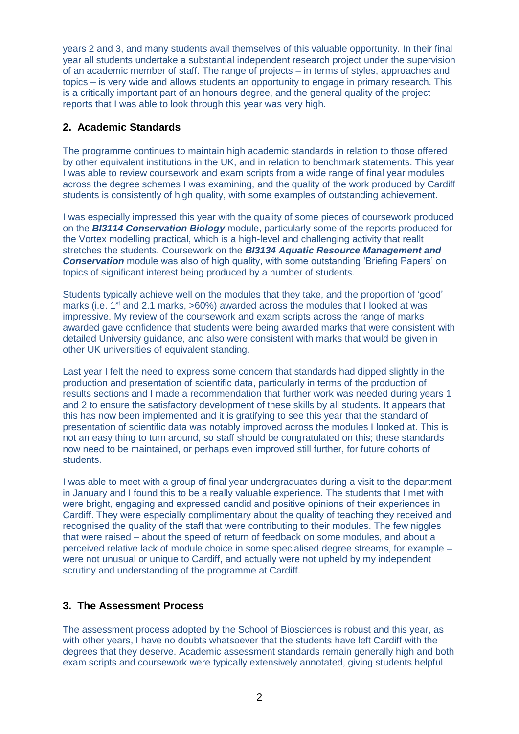years 2 and 3, and many students avail themselves of this valuable opportunity. In their final year all students undertake a substantial independent research project under the supervision of an academic member of staff. The range of projects – in terms of styles, approaches and topics – is very wide and allows students an opportunity to engage in primary research. This is a critically important part of an honours degree, and the general quality of the project reports that I was able to look through this year was very high.

## **2. Academic Standards**

The programme continues to maintain high academic standards in relation to those offered by other equivalent institutions in the UK, and in relation to benchmark statements. This year I was able to review coursework and exam scripts from a wide range of final year modules across the degree schemes I was examining, and the quality of the work produced by Cardiff students is consistently of high quality, with some examples of outstanding achievement.

I was especially impressed this year with the quality of some pieces of coursework produced on the *BI3114 Conservation Biology* module, particularly some of the reports produced for the Vortex modelling practical, which is a high-level and challenging activity that reallt stretches the students. Coursework on the *BI3134 Aquatic Resource Management and*  **Conservation** module was also of high quality, with some outstanding 'Briefing Papers' on topics of significant interest being produced by a number of students.

Students typically achieve well on the modules that they take, and the proportion of 'good' marks (i.e.  $1<sup>st</sup>$  and 2.1 marks,  $>60\%$ ) awarded across the modules that I looked at was impressive. My review of the coursework and exam scripts across the range of marks awarded gave confidence that students were being awarded marks that were consistent with detailed University guidance, and also were consistent with marks that would be given in other UK universities of equivalent standing.

Last year I felt the need to express some concern that standards had dipped slightly in the production and presentation of scientific data, particularly in terms of the production of results sections and I made a recommendation that further work was needed during years 1 and 2 to ensure the satisfactory development of these skills by all students. It appears that this has now been implemented and it is gratifying to see this year that the standard of presentation of scientific data was notably improved across the modules I looked at. This is not an easy thing to turn around, so staff should be congratulated on this; these standards now need to be maintained, or perhaps even improved still further, for future cohorts of students.

I was able to meet with a group of final year undergraduates during a visit to the department in January and I found this to be a really valuable experience. The students that I met with were bright, engaging and expressed candid and positive opinions of their experiences in Cardiff. They were especially complimentary about the quality of teaching they received and recognised the quality of the staff that were contributing to their modules. The few niggles that were raised – about the speed of return of feedback on some modules, and about a perceived relative lack of module choice in some specialised degree streams, for example – were not unusual or unique to Cardiff, and actually were not upheld by my independent scrutiny and understanding of the programme at Cardiff.

## **3. The Assessment Process**

The assessment process adopted by the School of Biosciences is robust and this year, as with other years, I have no doubts whatsoever that the students have left Cardiff with the degrees that they deserve. Academic assessment standards remain generally high and both exam scripts and coursework were typically extensively annotated, giving students helpful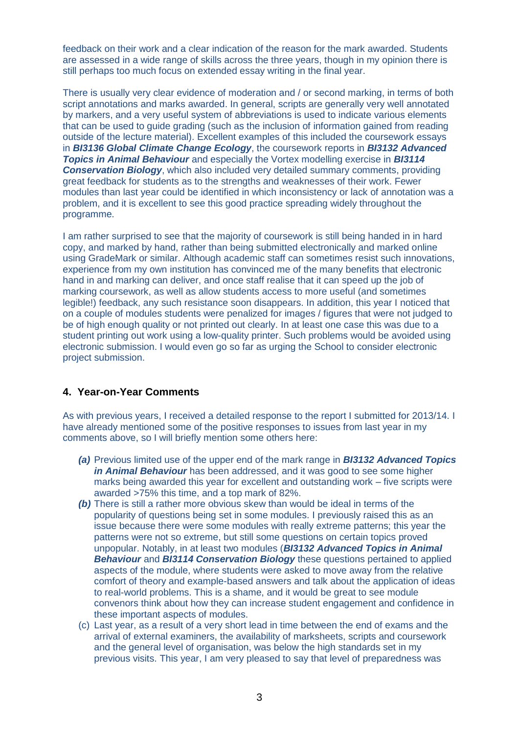feedback on their work and a clear indication of the reason for the mark awarded. Students are assessed in a wide range of skills across the three years, though in my opinion there is still perhaps too much focus on extended essay writing in the final year.

There is usually very clear evidence of moderation and / or second marking, in terms of both script annotations and marks awarded. In general, scripts are generally very well annotated by markers, and a very useful system of abbreviations is used to indicate various elements that can be used to guide grading (such as the inclusion of information gained from reading outside of the lecture material). Excellent examples of this included the coursework essays in *BI3136 Global Climate Change Ecology*, the coursework reports in *BI3132 Advanced Topics in Animal Behaviour* and especially the Vortex modelling exercise in *BI3114 Conservation Biology*, which also included very detailed summary comments, providing great feedback for students as to the strengths and weaknesses of their work. Fewer modules than last year could be identified in which inconsistency or lack of annotation was a problem, and it is excellent to see this good practice spreading widely throughout the programme.

I am rather surprised to see that the majority of coursework is still being handed in in hard copy, and marked by hand, rather than being submitted electronically and marked online using GradeMark or similar. Although academic staff can sometimes resist such innovations, experience from my own institution has convinced me of the many benefits that electronic hand in and marking can deliver, and once staff realise that it can speed up the job of marking coursework, as well as allow students access to more useful (and sometimes legible!) feedback, any such resistance soon disappears. In addition, this year I noticed that on a couple of modules students were penalized for images / figures that were not judged to be of high enough quality or not printed out clearly. In at least one case this was due to a student printing out work using a low-quality printer. Such problems would be avoided using electronic submission. I would even go so far as urging the School to consider electronic project submission.

#### **4. Year-on-Year Comments**

As with previous years, I received a detailed response to the report I submitted for 2013/14. I have already mentioned some of the positive responses to issues from last year in my comments above, so I will briefly mention some others here:

- *(a)* Previous limited use of the upper end of the mark range in *BI3132 Advanced Topics in Animal Behaviour* has been addressed, and it was good to see some higher marks being awarded this year for excellent and outstanding work – five scripts were awarded >75% this time, and a top mark of 82%.
- *(b)* There is still a rather more obvious skew than would be ideal in terms of the popularity of questions being set in some modules. I previously raised this as an issue because there were some modules with really extreme patterns; this year the patterns were not so extreme, but still some questions on certain topics proved unpopular. Notably, in at least two modules (*BI3132 Advanced Topics in Animal Behaviour* and *BI3114 Conservation Biology* these questions pertained to applied aspects of the module, where students were asked to move away from the relative comfort of theory and example-based answers and talk about the application of ideas to real-world problems. This is a shame, and it would be great to see module convenors think about how they can increase student engagement and confidence in these important aspects of modules.
- (c) Last year, as a result of a very short lead in time between the end of exams and the arrival of external examiners, the availability of marksheets, scripts and coursework and the general level of organisation, was below the high standards set in my previous visits. This year, I am very pleased to say that level of preparedness was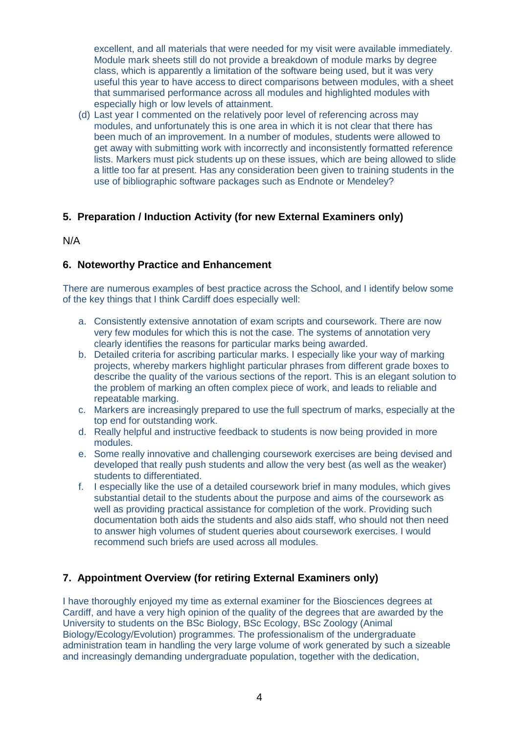excellent, and all materials that were needed for my visit were available immediately. Module mark sheets still do not provide a breakdown of module marks by degree class, which is apparently a limitation of the software being used, but it was very useful this year to have access to direct comparisons between modules, with a sheet that summarised performance across all modules and highlighted modules with especially high or low levels of attainment.

(d) Last year I commented on the relatively poor level of referencing across may modules, and unfortunately this is one area in which it is not clear that there has been much of an improvement. In a number of modules, students were allowed to get away with submitting work with incorrectly and inconsistently formatted reference lists. Markers must pick students up on these issues, which are being allowed to slide a little too far at present. Has any consideration been given to training students in the use of bibliographic software packages such as Endnote or Mendeley?

# **5. Preparation / Induction Activity (for new External Examiners only)**

#### N/A

### **6. Noteworthy Practice and Enhancement**

There are numerous examples of best practice across the School, and I identify below some of the key things that I think Cardiff does especially well:

- a. Consistently extensive annotation of exam scripts and coursework. There are now very few modules for which this is not the case. The systems of annotation very clearly identifies the reasons for particular marks being awarded.
- b. Detailed criteria for ascribing particular marks. I especially like your way of marking projects, whereby markers highlight particular phrases from different grade boxes to describe the quality of the various sections of the report. This is an elegant solution to the problem of marking an often complex piece of work, and leads to reliable and repeatable marking.
- c. Markers are increasingly prepared to use the full spectrum of marks, especially at the top end for outstanding work.
- d. Really helpful and instructive feedback to students is now being provided in more modules.
- e. Some really innovative and challenging coursework exercises are being devised and developed that really push students and allow the very best (as well as the weaker) students to differentiated.
- f. I especially like the use of a detailed coursework brief in many modules, which gives substantial detail to the students about the purpose and aims of the coursework as well as providing practical assistance for completion of the work. Providing such documentation both aids the students and also aids staff, who should not then need to answer high volumes of student queries about coursework exercises. I would recommend such briefs are used across all modules.

# **7. Appointment Overview (for retiring External Examiners only)**

I have thoroughly enjoyed my time as external examiner for the Biosciences degrees at Cardiff, and have a very high opinion of the quality of the degrees that are awarded by the University to students on the BSc Biology, BSc Ecology, BSc Zoology (Animal Biology/Ecology/Evolution) programmes. The professionalism of the undergraduate administration team in handling the very large volume of work generated by such a sizeable and increasingly demanding undergraduate population, together with the dedication,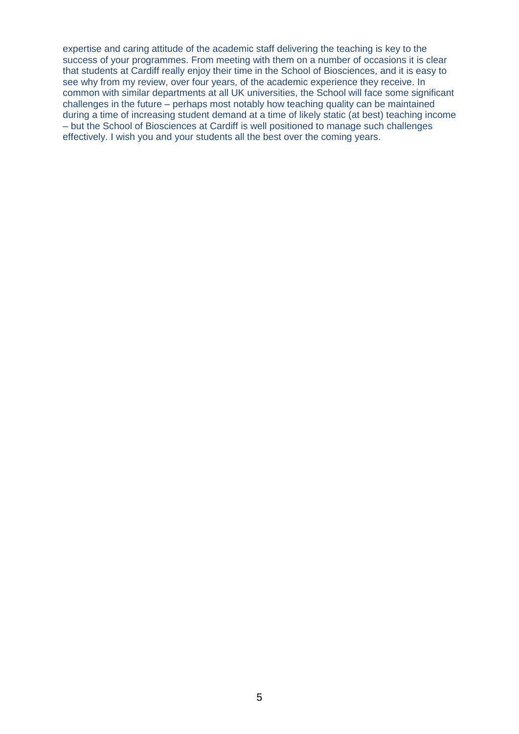expertise and caring attitude of the academic staff delivering the teaching is key to the success of your programmes. From meeting with them on a number of occasions it is clear that students at Cardiff really enjoy their time in the School of Biosciences, and it is easy to see why from my review, over four years, of the academic experience they receive. In common with similar departments at all UK universities, the School will face some significant challenges in the future – perhaps most notably how teaching quality can be maintained during a time of increasing student demand at a time of likely static (at best) teaching income – but the School of Biosciences at Cardiff is well positioned to manage such challenges effectively. I wish you and your students all the best over the coming years.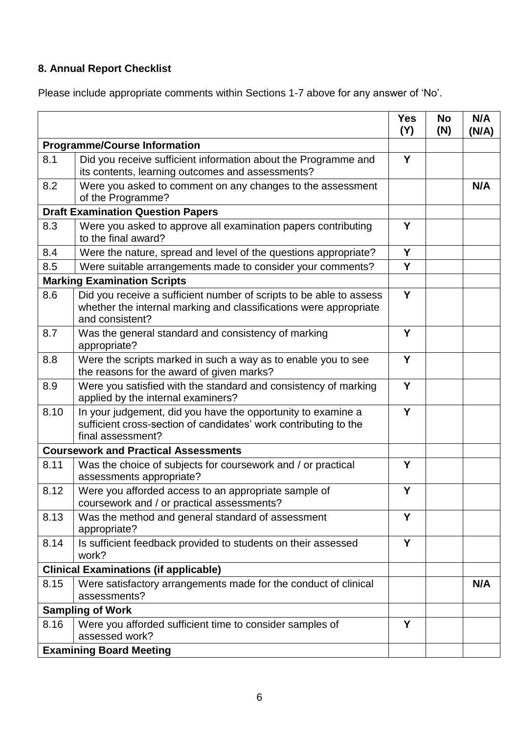# **8. Annual Report Checklist**

Please include appropriate comments within Sections 1-7 above for any answer of 'No'.

|                                          |                                                                                                                                                             | <b>Yes</b><br>(Y) | <b>No</b><br>(N) | N/A<br>(N/A) |  |
|------------------------------------------|-------------------------------------------------------------------------------------------------------------------------------------------------------------|-------------------|------------------|--------------|--|
| <b>Programme/Course Information</b>      |                                                                                                                                                             |                   |                  |              |  |
| 8.1                                      | Did you receive sufficient information about the Programme and<br>its contents, learning outcomes and assessments?                                          | Y                 |                  |              |  |
| 8.2                                      | Were you asked to comment on any changes to the assessment<br>of the Programme?                                                                             |                   |                  | N/A          |  |
| <b>Draft Examination Question Papers</b> |                                                                                                                                                             |                   |                  |              |  |
| 8.3                                      | Were you asked to approve all examination papers contributing<br>to the final award?                                                                        | Y                 |                  |              |  |
| 8.4                                      | Were the nature, spread and level of the questions appropriate?                                                                                             | Y                 |                  |              |  |
| 8.5                                      | Were suitable arrangements made to consider your comments?                                                                                                  | Y                 |                  |              |  |
|                                          | <b>Marking Examination Scripts</b>                                                                                                                          |                   |                  |              |  |
| 8.6                                      | Did you receive a sufficient number of scripts to be able to assess<br>whether the internal marking and classifications were appropriate<br>and consistent? | Y                 |                  |              |  |
| 8.7                                      | Was the general standard and consistency of marking<br>appropriate?                                                                                         | Y                 |                  |              |  |
| 8.8                                      | Were the scripts marked in such a way as to enable you to see<br>the reasons for the award of given marks?                                                  | Y                 |                  |              |  |
| 8.9                                      | Were you satisfied with the standard and consistency of marking<br>applied by the internal examiners?                                                       | Y                 |                  |              |  |
| 8.10                                     | In your judgement, did you have the opportunity to examine a<br>sufficient cross-section of candidates' work contributing to the<br>final assessment?       | Y                 |                  |              |  |
|                                          | <b>Coursework and Practical Assessments</b>                                                                                                                 |                   |                  |              |  |
| 8.11                                     | Was the choice of subjects for coursework and / or practical<br>assessments appropriate?                                                                    | Y                 |                  |              |  |
| 8.12                                     | Were you afforded access to an appropriate sample of<br>coursework and / or practical assessments?                                                          | Y                 |                  |              |  |
| 8.13                                     | Was the method and general standard of assessment<br>appropriate?                                                                                           | Y                 |                  |              |  |
| 8.14                                     | Is sufficient feedback provided to students on their assessed<br>work?                                                                                      | Y                 |                  |              |  |
|                                          | <b>Clinical Examinations (if applicable)</b>                                                                                                                |                   |                  |              |  |
| 8.15                                     | Were satisfactory arrangements made for the conduct of clinical<br>assessments?                                                                             |                   |                  | N/A          |  |
|                                          | <b>Sampling of Work</b>                                                                                                                                     |                   |                  |              |  |
| 8.16                                     | Were you afforded sufficient time to consider samples of<br>assessed work?                                                                                  | Y                 |                  |              |  |
| <b>Examining Board Meeting</b>           |                                                                                                                                                             |                   |                  |              |  |